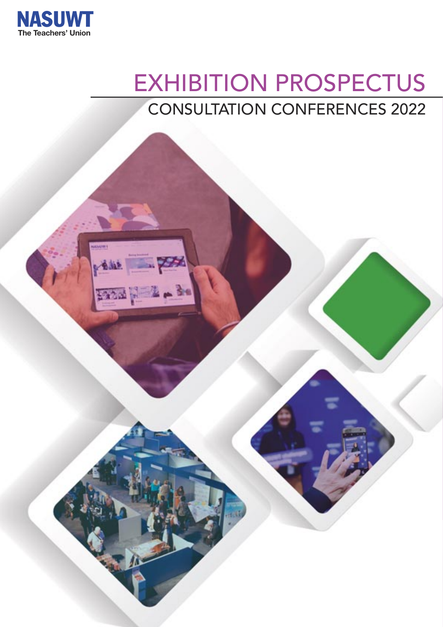

安心感

## EXHIBITION PROSPECTUS CONSULTATION CONFERENCES 2022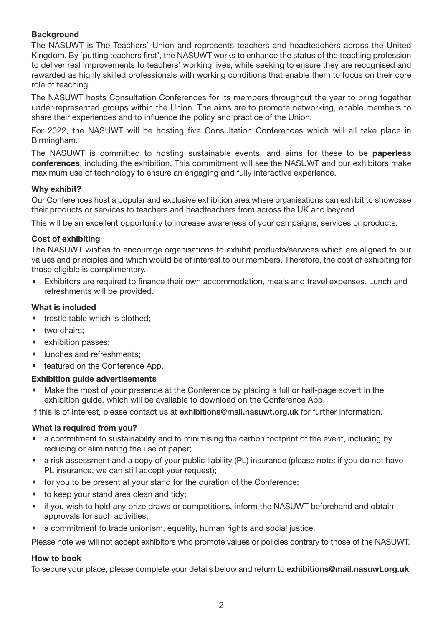#### **Background**

The NASUWT is The Teachers' Union and represents teachers and headteachers across the United Kingdom. By 'putting teachers first', the NASUWT works to enhance the status of the teaching profession to deliver real improvements to teachers' working lives, while seeking to ensure they are recognised and rewarded as highly skilled professionals with working conditions that enable them to focus on their core role of teaching.

The NASUWT hosts Consultation Conferences for its members throughout the year to bring together under-represented groups within the Union. The aims are to promote networking, enable members to share their experiences and to influence the policy and practice of the Union.

For 2022, the NASUWT will be hosting five Consultation Conferences which will all take place in Birmingham.

The NASUWT is committed to hosting sustainable events, and aims for these to be **paperless conferences**, including the exhibition. This commitment will see the NASUWT and our exhibitors make maximum use of technology to ensure an engaging and fully interactive experience.

#### **Why exhibit?**

Our Conferences host a popular and exclusive exhibition area where organisations can exhibit to showcase their products or services to teachers and headteachers from across the UK and beyond.

This will be an excellent opportunity to increase awareness of your campaigns, services or products.

#### **Cost of exhibiting**

The NASUWT wishes to encourage organisations to exhibit products/services which are aligned to our values and principles and which would be of interest to our members. Therefore, the cost of exhibiting for those eligible is complimentary.

• Exhibitors are required to finance their own accommodation, meals and travel expenses. Lunch and refreshments will be provided.

#### **What is included**

- trestle table which is clothed;
- two chairs:
- exhibition passes;
- lunches and refreshments;
- featured on the Conference App.

#### **Exhibition guide advertisements**

• Make the most of your presence at the Conference by placing a full or half-page advert in the exhibition guide, which will be available to download on the Conference App.

If this is of interest, please contact us at **exhibitions@mail.nasuwt.org.uk** for further information.

#### **What is required from you?**

- a commitment to sustainability and to minimising the carbon footprint of the event, including by reducing or eliminating the use of paper;
- a risk assessment and a copy of your public liability (PL) insurance (please note: if you do not have PL insurance, we can still accept your request);
- for you to be present at your stand for the duration of the Conference;
- to keep your stand area clean and tidy;
- if you wish to hold any prize draws or competitions, inform the NASUWT beforehand and obtain approvals for such activities;
- a commitment to trade unionism, equality, human rights and social justice.

Please note we will not accept exhibitors who promote values or policies contrary to those of the NASUWT.

#### **How to book**

To secure your place, please complete your details below and return to **exhibitions@mail.nasuwt.org.uk**.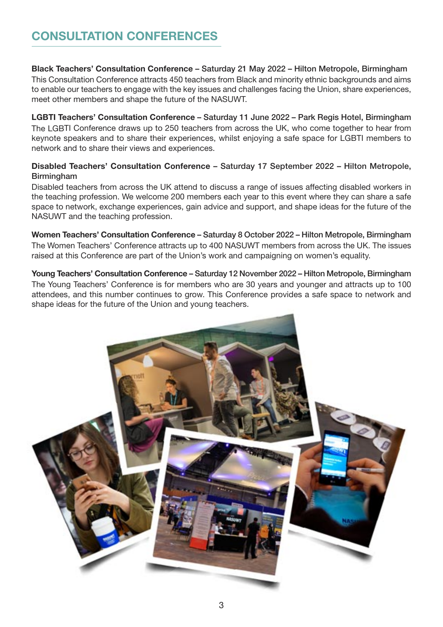### **CONSULTATION CONFERENCES**

**Black Teachers' Consultation Conference – Saturday 21 May 2022 – Hilton Metropole, Birmingham** This Consultation Conference attracts 450 teachers from Black and minority ethnic backgrounds and aims to enable our teachers to engage with the key issues and challenges facing the Union, share experiences, meet other members and shape the future of the NASUWT.

**LGBTI Teachers' Consultation Conference – Saturday 11 June 2022 – Park Regis Hotel, Birmingham** The LGBTI Conference draws up to 250 teachers from across the UK, who come together to hear from keynote speakers and to share their experiences, whilst enjoying a safe space for LGBTI members to network and to share their views and experiences.

#### **Disabled Teachers' Consultation Conference – Saturday 17 September 2022 – Hilton Metropole, Birmingham**

Disabled teachers from across the UK attend to discuss a range of issues affecting disabled workers in the teaching profession. We welcome 200 members each year to this event where they can share a safe space to network, exchange experiences, gain advice and support, and shape ideas for the future of the NASUWT and the teaching profession.

**Women Teachers' Consultation Conference – Saturday 8 October 2022 – Hilton Metropole, Birmingham** The Women Teachers' Conference attracts up to 400 NASUWT members from across the UK. The issues raised at this Conference are part of the Union's work and campaigning on women's equality.

**Young Teachers' Consultation Conference – Saturday 12 November 2022 – Hilton Metropole, Birmingham** The Young Teachers' Conference is for members who are 30 years and younger and attracts up to 100 attendees, and this number continues to grow. This Conference provides a safe space to network and shape ideas for the future of the Union and young teachers.

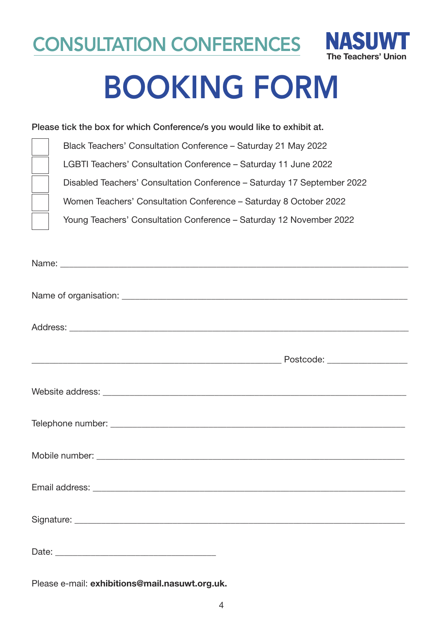CONSULTATION CONFERENCES NASUWT



# BOOKING FORM

#### **Please tick the box for which Conference/s you would like to exhibit at.**

| Black Teachers' Consultation Conference – Saturday 21 May 2022          |
|-------------------------------------------------------------------------|
| LGBTI Teachers' Consultation Conference – Saturday 11 June 2022         |
| Disabled Teachers' Consultation Conference – Saturday 17 September 2022 |
| Women Teachers' Consultation Conference - Saturday 8 October 2022       |
| Young Teachers' Consultation Conference - Saturday 12 November 2022     |

Please e-mail: **exhibitions@mail.nasuwt.org.uk.**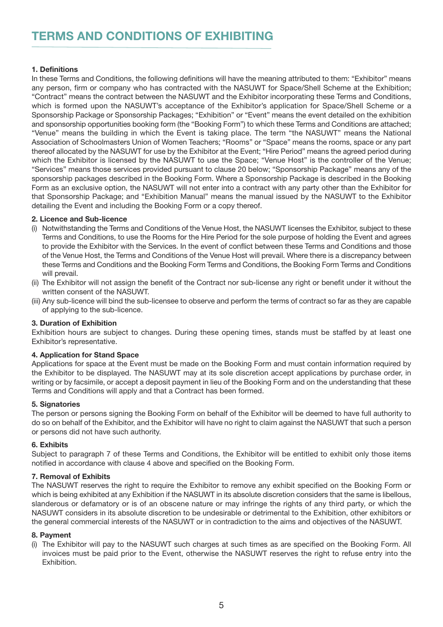#### **1. Definitions**

In these Terms and Conditions, the following definitions will have the meaning attributed to them: "Exhibitor" means any person, firm or company who has contracted with the NASUWT for Space/Shell Scheme at the Exhibition; "Contract" means the contract between the NASUWT and the Exhibitor incorporating these Terms and Conditions, which is formed upon the NASUWT's acceptance of the Exhibitor's application for Space/Shell Scheme or a Sponsorship Package or Sponsorship Packages; "Exhibition" or "Event" means the event detailed on the exhibition and sponsorship opportunities booking form (the "Booking Form") to which these Terms and Conditions are attached; "Venue" means the building in which the Event is taking place. The term "the NASUWT" means the National Association of Schoolmasters Union of Women Teachers; "Rooms" or "Space" means the rooms, space or any part thereof allocated by the NASUWT for use by the Exhibitor at the Event; "Hire Period" means the agreed period during which the Exhibitor is licensed by the NASUWT to use the Space; "Venue Host" is the controller of the Venue; "Services" means those services provided pursuant to clause 20 below; "Sponsorship Package" means any of the sponsorship packages described in the Booking Form. Where a Sponsorship Package is described in the Booking Form as an exclusive option, the NASUWT will not enter into a contract with any party other than the Exhibitor for that Sponsorship Package; and "Exhibition Manual" means the manual issued by the NASUWT to the Exhibitor detailing the Event and including the Booking Form or a copy thereof.

#### **2. Licence and Sub-licence**

- (i) Notwithstanding the Terms and Conditions of the Venue Host, the NASUWT licenses the Exhibitor, subject to these Terms and Conditions, to use the Rooms for the Hire Period for the sole purpose of holding the Event and agrees to provide the Exhibitor with the Services. In the event of conflict between these Terms and Conditions and those of the Venue Host, the Terms and Conditions of the Venue Host will prevail. Where there is a discrepancy between these Terms and Conditions and the Booking Form Terms and Conditions, the Booking Form Terms and Conditions will prevail.
- (ii) The Exhibitor will not assign the benefit of the Contract nor sub-license any right or benefit under it without the written consent of the NASUWT.
- (iii) Any sub-licence will bind the sub-licensee to observe and perform the terms of contract so far as they are capable of applying to the sub-licence.

#### **3. Duration of Exhibition**

Exhibition hours are subject to changes. During these opening times, stands must be staffed by at least one Exhibitor's representative.

#### **4. Application for Stand Space**

Applications for space at the Event must be made on the Booking Form and must contain information required by the Exhibitor to be displayed. The NASUWT may at its sole discretion accept applications by purchase order, in writing or by facsimile, or accept a deposit payment in lieu of the Booking Form and on the understanding that these Terms and Conditions will apply and that a Contract has been formed.

#### **5. Signatories**

The person or persons signing the Booking Form on behalf of the Exhibitor will be deemed to have full authority to do so on behalf of the Exhibitor, and the Exhibitor will have no right to claim against the NASUWT that such a person or persons did not have such authority.

#### **6. Exhibits**

Subject to paragraph 7 of these Terms and Conditions, the Exhibitor will be entitled to exhibit only those items notified in accordance with clause 4 above and specified on the Booking Form.

#### **7. Removal of Exhibits**

The NASUWT reserves the right to require the Exhibitor to remove any exhibit specified on the Booking Form or which is being exhibited at any Exhibition if the NASUWT in its absolute discretion considers that the same is libellous, slanderous or defamatory or is of an obscene nature or may infringe the rights of any third party, or which the NASUWT considers in its absolute discretion to be undesirable or detrimental to the Exhibition, other exhibitors or the general commercial interests of the NASUWT or in contradiction to the aims and objectives of the NASUWT.

#### **8. Payment**

(i) The Exhibitor will pay to the NASUWT such charges at such times as are specified on the Booking Form. All invoices must be paid prior to the Event, otherwise the NASUWT reserves the right to refuse entry into the Exhibition.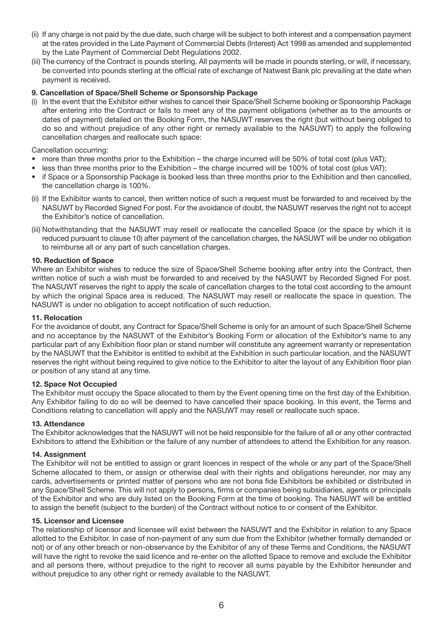- (ii) If any charge is not paid by the due date, such charge will be subject to both interest and a compensation payment at the rates provided in the Late Payment of Commercial Debts (Interest) Act 1998 as amended and supplemented by the Late Payment of Commercial Debt Regulations 2002.
- (iii) The currency of the Contract is pounds sterling. All payments will be made in pounds sterling, or will, if necessary, be converted into pounds sterling at the official rate of exchange of Natwest Bank plc prevailing at the date when payment is received.

#### **9. Cancellation of Space/Shell Scheme or Sponsorship Package**

(i) In the event that the Exhibitor either wishes to cancel their Space/Shell Scheme booking or Sponsorship Package after entering into the Contract or fails to meet any of the payment obligations (whether as to the amounts or dates of payment) detailed on the Booking Form, the NASUWT reserves the right (but without being obliged to do so and without prejudice of any other right or remedy available to the NASUWT) to apply the following cancellation charges and reallocate such space:

Cancellation occurring:

- more than three months prior to the Exhibition the charge incurred will be 50% of total cost (plus VAT);
- less than three months prior to the Exhibition the charge incurred will be 100% of total cost (plus VAT);
- if Space or a Sponsorship Package is booked less than three months prior to the Exhibition and then cancelled, the cancellation charge is 100%.
- (ii) If the Exhibitor wants to cancel, then written notice of such a request must be forwarded to and received by the NASUWT by Recorded Signed For post. For the avoidance of doubt, the NASUWT reserves the right not to accept the Exhibitor's notice of cancellation.
- (iii) Notwithstanding that the NASUWT may resell or reallocate the cancelled Space (or the space by which it is reduced pursuant to clause 10) after payment of the cancellation charges, the NASUWT will be under no obligation to reimburse all or any part of such cancellation charges.

#### **10. Reduction of Space**

Where an Exhibitor wishes to reduce the size of Space/Shell Scheme booking after entry into the Contract, then written notice of such a wish must be forwarded to and received by the NASUWT by Recorded Signed For post. The NASUWT reserves the right to apply the scale of cancellation charges to the total cost according to the amount by which the original Space area is reduced. The NASUWT may resell or reallocate the space in question. The NASUWT is under no obligation to accept notification of such reduction.

#### **11. Relocation**

For the avoidance of doubt, any Contract for Space/Shell Scheme is only for an amount of such Space/Shell Scheme and no acceptance by the NASUWT of the Exhibitor's Booking Form or allocation of the Exhibitor's name to any particular part of any Exhibition floor plan or stand number will constitute any agreement warranty or representation by the NASUWT that the Exhibitor is entitled to exhibit at the Exhibition in such particular location, and the NASUWT reserves the right without being required to give notice to the Exhibitor to alter the layout of any Exhibition floor plan or position of any stand at any time.

#### **12. Space Not Occupied**

The Exhibitor must occupy the Space allocated to them by the Event opening time on the first day of the Exhibition. Any Exhibitor failing to do so will be deemed to have cancelled their space booking. In this event, the Terms and Conditions relating to cancellation will apply and the NASUWT may resell or reallocate such space.

#### **13. Attendance**

The Exhibitor acknowledges that the NASUWT will not be held responsible for the failure of all or any other contracted Exhibitors to attend the Exhibition or the failure of any number of attendees to attend the Exhibition for any reason.

#### **14. Assignment**

The Exhibitor will not be entitled to assign or grant licences in respect of the whole or any part of the Space/Shell Scheme allocated to them, or assign or otherwise deal with their rights and obligations hereunder, nor may any cards, advertisements or printed matter of persons who are not bona fide Exhibitors be exhibited or distributed in any Space/Shell Scheme. This will not apply to persons, firms or companies being subsidiaries, agents or principals of the Exhibitor and who are duly listed on the Booking Form at the time of booking. The NASUWT will be entitled to assign the benefit (subject to the burden) of the Contract without notice to or consent of the Exhibitor.

#### **15. Licensor and Licensee**

The relationship of licensor and licensee will exist between the NASUWT and the Exhibitor in relation to any Space allotted to the Exhibitor. In case of non-payment of any sum due from the Exhibitor (whether formally demanded or not) or of any other breach or non-observance by the Exhibitor of any of these Terms and Conditions, the NASUWT will have the right to revoke the said licence and re-enter on the allotted Space to remove and exclude the Exhibitor and all persons there, without prejudice to the right to recover all sums payable by the Exhibitor hereunder and without prejudice to any other right or remedy available to the NASUWT.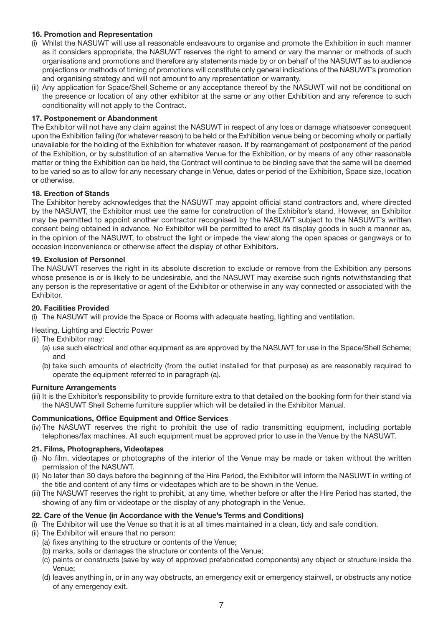#### **16. Promotion and Representation**

- (i) Whilst the NASUWT will use all reasonable endeavours to organise and promote the Exhibition in such manner as it considers appropriate, the NASUWT reserves the right to amend or vary the manner or methods of such organisations and promotions and therefore any statements made by or on behalf of the NASUWT as to audience projections or methods of timing of promotions will constitute only general indications of the NASUWT's promotion and organising strategy and will not amount to any representation or warranty.
- (ii) Any application for Space/Shell Scheme or any acceptance thereof by the NASUWT will not be conditional on the presence or location of any other exhibitor at the same or any other Exhibition and any reference to such conditionality will not apply to the Contract.

#### **17. Postponement or Abandonment**

The Exhibitor will not have any claim against the NASUWT in respect of any loss or damage whatsoever consequent upon the Exhibition failing (for whatever reason) to be held or the Exhibition venue being or becoming wholly or partially unavailable for the holding of the Exhibition for whatever reason. If by rearrangement of postponement of the period of the Exhibition, or by substitution of an alternative Venue for the Exhibition, or by means of any other reasonable matter or thing the Exhibition can be held, the Contract will continue to be binding save that the same will be deemed to be varied so as to allow for any necessary change in Venue, dates or period of the Exhibition, Space size, location or otherwise.

#### **18. Erection of Stands**

The Exhibitor hereby acknowledges that the NASUWT may appoint official stand contractors and, where directed by the NASUWT, the Exhibitor must use the same for construction of the Exhibitor's stand. However, an Exhibitor may be permitted to appoint another contractor recognised by the NASUWT subject to the NASUWT's written consent being obtained in advance. No Exhibitor will be permitted to erect its display goods in such a manner as, in the opinion of the NASUWT, to obstruct the light or impede the view along the open spaces or gangways or to occasion inconvenience or otherwise affect the display of other Exhibitors.

#### **19. Exclusion of Personnel**

The NASUWT reserves the right in its absolute discretion to exclude or remove from the Exhibition any persons whose presence is or is likely to be undesirable, and the NASUWT may exercise such rights notwithstanding that any person is the representative or agent of the Exhibitor or otherwise in any way connected or associated with the Exhibitor.

#### **20. Facilities Provided**

(i) The NASUWT will provide the Space or Rooms with adequate heating, lighting and ventilation.

Heating, Lighting and Electric Power

- (ii) The Exhibitor may:
	- (a) use such electrical and other equipment as are approved by the NASUWT for use in the Space/Shell Scheme; and
	- (b) take such amounts of electricity (from the outlet installed for that purpose) as are reasonably required to operate the equipment referred to in paragraph (a).

#### **Furniture Arrangements**

(iii) It is the Exhibitor's responsibility to provide furniture extra to that detailed on the booking form for their stand via the NASUWT Shell Scheme furniture supplier which will be detailed in the Exhibitor Manual.

#### **Communications, Office Equipment and Office Services**

(iv) The NASUWT reserves the right to prohibit the use of radio transmitting equipment, including portable telephones/fax machines. All such equipment must be approved prior to use in the Venue by the NASUWT.

#### **21. Films, Photographers, Videotapes**

- (i) No film, videotapes or photographs of the interior of the Venue may be made or taken without the written permission of the NASUWT.
- (ii) No later than 30 days before the beginning of the Hire Period, the Exhibitor will inform the NASUWT in writing of the title and content of any films or videotapes which are to be shown in the Venue.
- (iii) The NASUWT reserves the right to prohibit, at any time, whether before or after the Hire Period has started, the showing of any film or videotape or the display of any photograph in the Venue.

#### **22. Care of the Venue (in Accordance with the Venue's Terms and Conditions)**

- (i) The Exhibitor will use the Venue so that it is at all times maintained in a clean, tidy and safe condition.
- (ii) The Exhibitor will ensure that no person:
	- (a) fixes anything to the structure or contents of the Venue;
	- (b) marks, soils or damages the structure or contents of the Venue;
	- (c) paints or constructs (save by way of approved prefabricated components) any object or structure inside the Venue;
	- (d) leaves anything in, or in any way obstructs, an emergency exit or emergency stairwell, or obstructs any notice of any emergency exit.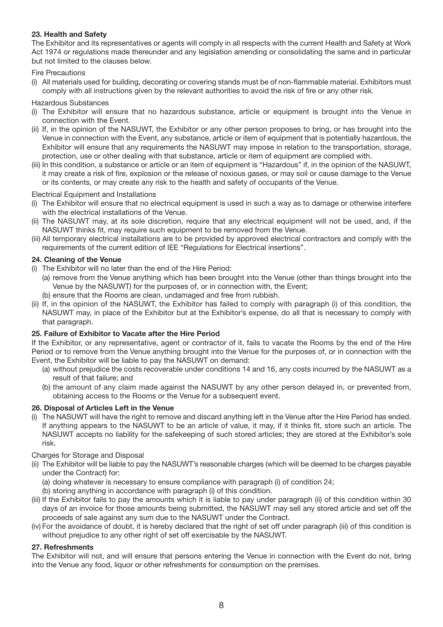#### **23. Health and Safety**

The Exhibitor and its representatives or agents will comply in all respects with the current Health and Safety at Work Act 1974 or regulations made thereunder and any legislation amending or consolidating the same and in particular but not limited to the clauses below.

#### Fire Precautions

(i) All materials used for building, decorating or covering stands must be of non-flammable material. Exhibitors must comply with all instructions given by the relevant authorities to avoid the risk of fire or any other risk.

#### Hazardous Substances

- (i) The Exhibitor will ensure that no hazardous substance, article or equipment is brought into the Venue in connection with the Event.
- (ii) If, in the opinion of the NASUWT, the Exhibitor or any other person proposes to bring, or has brought into the Venue in connection with the Event, any substance, article or item of equipment that is potentially hazardous, the Exhibitor will ensure that any requirements the NASUWT may impose in relation to the transportation, storage, protection, use or other dealing with that substance, article or item of equipment are complied with.
- (iii) In this condition, a substance or article or an item of equipment is "Hazardous" if, in the opinion of the NASUWT, it may create a risk of fire, explosion or the release of noxious gases, or may soil or cause damage to the Venue or its contents, or may create any risk to the health and safety of occupants of the Venue.

Electrical Equipment and Installations

- (i) The Exhibitor will ensure that no electrical equipment is used in such a way as to damage or otherwise interfere with the electrical installations of the Venue.
- (ii) The NASUWT may, at its sole discretion, require that any electrical equipment will not be used, and, if the NASUWT thinks fit, may require such equipment to be removed from the Venue.
- (iii) All temporary electrical installations are to be provided by approved electrical contractors and comply with the requirements of the current edition of IEE "Regulations for Electrical insertions".

#### **24. Cleaning of the Venue**

- (i) The Exhibitor will no later than the end of the Hire Period:
	- (a) remove from the Venue anything which has been brought into the Venue (other than things brought into the Venue by the NASUWT) for the purposes of, or in connection with, the Event;
	- (b) ensure that the Rooms are clean, undamaged and free from rubbish.
- (ii) If, in the opinion of the NASUWT, the Exhibitor has failed to comply with paragraph (i) of this condition, the NASUWT may, in place of the Exhibitor but at the Exhibitor's expense, do all that is necessary to comply with that paragraph.

#### **25. Failure of Exhibitor to Vacate after the Hire Period**

If the Exhibitor, or any representative, agent or contractor of it, fails to vacate the Rooms by the end of the Hire Period or to remove from the Venue anything brought into the Venue for the purposes of, or in connection with the Event, the Exhibitor will be liable to pay the NASUWT on demand:

- (a) without prejudice the costs recoverable under conditions 14 and 16, any costs incurred by the NASUWT as a result of that failure; and
- (b) the amount of any claim made against the NASUWT by any other person delayed in, or prevented from, obtaining access to the Rooms or the Venue for a subsequent event.

#### **26. Disposal of Articles Left in the Venue**

(i) The NASUWT will have the right to remove and discard anything left in the Venue after the Hire Period has ended. If anything appears to the NASUWT to be an article of value, it may, if it thinks fit, store such an article. The NASUWT accepts no liability for the safekeeping of such stored articles; they are stored at the Exhibitor's sole risk.

#### Charges for Storage and Disposal

- (ii) The Exhibitor will be liable to pay the NASUWT's reasonable charges (which will be deemed to be charges payable under the Contract) for:
	- (a) doing whatever is necessary to ensure compliance with paragraph (i) of condition 24;
	- (b) storing anything in accordance with paragraph (i) of this condition.
- (iii) If the Exhibitor fails to pay the amounts which it is liable to pay under paragraph (ii) of this condition within 30 days of an invoice for those amounts being submitted, the NASUWT may sell any stored article and set off the proceeds of sale against any sum due to the NASUWT under the Contract.
- (iv) For the avoidance of doubt, it is hereby declared that the right of set off under paragraph (iii) of this condition is without prejudice to any other right of set off exercisable by the NASUWT.

#### **27. Refreshments**

The Exhibitor will not, and will ensure that persons entering the Venue in connection with the Event do not, bring into the Venue any food, liquor or other refreshments for consumption on the premises.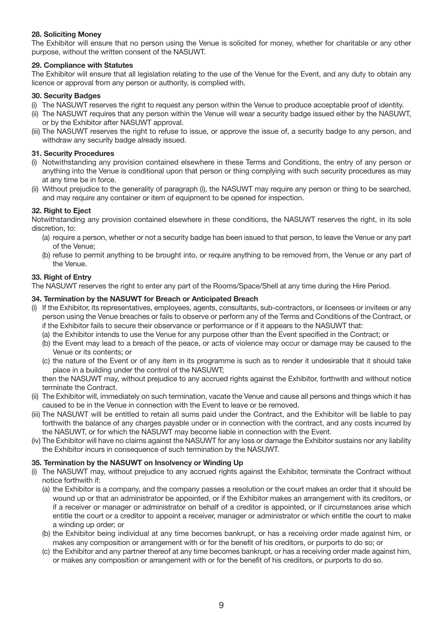#### **28. Soliciting Money**

The Exhibitor will ensure that no person using the Venue is solicited for money, whether for charitable or any other purpose, without the written consent of the NASUWT.

#### **29. Compliance with Statutes**

The Exhibitor will ensure that all legislation relating to the use of the Venue for the Event, and any duty to obtain any licence or approval from any person or authority, is complied with.

#### **30. Security Badges**

- (i) The NASUWT reserves the right to request any person within the Venue to produce acceptable proof of identity.
- (ii) The NASUWT requires that any person within the Venue will wear a security badge issued either by the NASUWT, or by the Exhibitor after NASUWT approval.
- (iii) The NASUWT reserves the right to refuse to issue, or approve the issue of, a security badge to any person, and withdraw any security badge already issued.

#### **31. Security Procedures**

- (i) Notwithstanding any provision contained elsewhere in these Terms and Conditions, the entry of any person or anything into the Venue is conditional upon that person or thing complying with such security procedures as may at any time be in force.
- (ii) Without prejudice to the generality of paragraph (i), the NASUWT may require any person or thing to be searched, and may require any container or item of equipment to be opened for inspection.

#### **32. Right to Eject**

Notwithstanding any provision contained elsewhere in these conditions, the NASUWT reserves the right, in its sole discretion, to:

- (a) require a person, whether or not a security badge has been issued to that person, to leave the Venue or any part of the Venue;
- (b) refuse to permit anything to be brought into, or require anything to be removed from, the Venue or any part of the Venue.

#### **33. Right of Entry**

The NASUWT reserves the right to enter any part of the Rooms/Space/Shell at any time during the Hire Period.

#### **34. Termination by the NASUWT for Breach or Anticipated Breach**

- (i) If the Exhibitor, its representatives, employees, agents, consultants, sub-contractors, or licensees or invitees or any person using the Venue breaches or fails to observe or perform any of the Terms and Conditions of the Contract, or if the Exhibitor fails to secure their observance or performance or if it appears to the NASUWT that:
	- (a) the Exhibitor intends to use the Venue for any purpose other than the Event specified in the Contract; or
	- (b) the Event may lead to a breach of the peace, or acts of violence may occur or damage may be caused to the Venue or its contents; or
	- (c) the nature of the Event or of any item in its programme is such as to render it undesirable that it should take place in a building under the control of the NASUWT;

then the NASUWT may, without prejudice to any accrued rights against the Exhibitor, forthwith and without notice terminate the Contract.

- (ii) The Exhibitor will, immediately on such termination, vacate the Venue and cause all persons and things which it has caused to be in the Venue in connection with the Event to leave or be removed.
- (iii) The NASUWT will be entitled to retain all sums paid under the Contract, and the Exhibitor will be liable to pay forthwith the balance of any charges payable under or in connection with the contract, and any costs incurred by the NASUWT, or for which the NASUWT may become liable in connection with the Event.
- (iv) The Exhibitor will have no claims against the NASUWT for any loss or damage the Exhibitor sustains nor any liability the Exhibitor incurs in consequence of such termination by the NASUWT.

#### **35. Termination by the NASUWT on Insolvency or Winding Up**

- (i) The NASUWT may, without prejudice to any accrued rights against the Exhibitor, terminate the Contract without notice forthwith if:
	- (a) the Exhibitor is a company, and the company passes a resolution or the court makes an order that it should be wound up or that an administrator be appointed, or if the Exhibitor makes an arrangement with its creditors, or if a receiver or manager or administrator on behalf of a creditor is appointed, or if circumstances arise which entitle the court or a creditor to appoint a receiver, manager or administrator or which entitle the court to make a winding up order; or
	- (b) the Exhibitor being individual at any time becomes bankrupt, or has a receiving order made against him, or makes any composition or arrangement with or for the benefit of his creditors, or purports to do so; or
	- (c) the Exhibitor and any partner thereof at any time becomes bankrupt, or has a receiving order made against him, or makes any composition or arrangement with or for the benefit of his creditors, or purports to do so.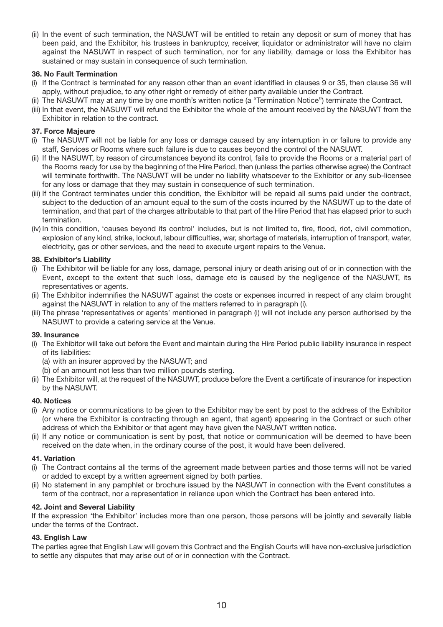(ii) In the event of such termination, the NASUWT will be entitled to retain any deposit or sum of money that has been paid, and the Exhibitor, his trustees in bankruptcy, receiver, liquidator or administrator will have no claim against the NASUWT in respect of such termination, nor for any liability, damage or loss the Exhibitor has sustained or may sustain in consequence of such termination.

#### **36. No Fault Termination**

- (i) If the Contract is terminated for any reason other than an event identified in clauses 9 or 35, then clause 36 will apply, without prejudice, to any other right or remedy of either party available under the Contract.
- (ii) The NASUWT may at any time by one month's written notice (a "Termination Notice") terminate the Contract.
- (iii) In that event, the NASUWT will refund the Exhibitor the whole of the amount received by the NASUWT from the Exhibitor in relation to the contract.

#### **37. Force Majeure**

- (i) The NASUWT will not be liable for any loss or damage caused by any interruption in or failure to provide any staff, Services or Rooms where such failure is due to causes beyond the control of the NASUWT.
- (ii) If the NASUWT, by reason of circumstances beyond its control, fails to provide the Rooms or a material part of the Rooms ready for use by the beginning of the Hire Period, then (unless the parties otherwise agree) the Contract will terminate forthwith. The NASUWT will be under no liability whatsoever to the Exhibitor or any sub-licensee for any loss or damage that they may sustain in consequence of such termination.
- (iii) If the Contract terminates under this condition, the Exhibitor will be repaid all sums paid under the contract, subject to the deduction of an amount equal to the sum of the costs incurred by the NASUWT up to the date of termination, and that part of the charges attributable to that part of the Hire Period that has elapsed prior to such termination.
- (iv) In this condition, 'causes beyond its control' includes, but is not limited to, fire, flood, riot, civil commotion, explosion of any kind, strike, lockout, labour difficulties, war, shortage of materials, interruption of transport, water, electricity, gas or other services, and the need to execute urgent repairs to the Venue.

#### **38. Exhibitor's Liability**

- (i) The Exhibitor will be liable for any loss, damage, personal injury or death arising out of or in connection with the Event, except to the extent that such loss, damage etc is caused by the negligence of the NASUWT, its representatives or agents.
- (ii) The Exhibitor indemnifies the NASUWT against the costs or expenses incurred in respect of any claim brought against the NASUWT in relation to any of the matters referred to in paragraph (i).
- (iii) The phrase 'representatives or agents' mentioned in paragraph (i) will not include any person authorised by the NASUWT to provide a catering service at the Venue.

#### **39. Insurance**

- (i) The Exhibitor will take out before the Event and maintain during the Hire Period public liability insurance in respect of its liabilities:
	- (a) with an insurer approved by the NASUWT; and
	- (b) of an amount not less than two million pounds sterling.
- (ii) The Exhibitor will, at the request of the NASUWT, produce before the Event a certificate of insurance for inspection by the NASUWT.

#### **40. Notices**

- (i) Any notice or communications to be given to the Exhibitor may be sent by post to the address of the Exhibitor (or where the Exhibitor is contracting through an agent, that agent) appearing in the Contract or such other address of which the Exhibitor or that agent may have given the NASUWT written notice.
- (ii) If any notice or communication is sent by post, that notice or communication will be deemed to have been received on the date when, in the ordinary course of the post, it would have been delivered.

#### **41. Variation**

- (i) The Contract contains all the terms of the agreement made between parties and those terms will not be varied or added to except by a written agreement signed by both parties.
- (ii) No statement in any pamphlet or brochure issued by the NASUWT in connection with the Event constitutes a term of the contract, nor a representation in reliance upon which the Contract has been entered into.

#### **42. Joint and Several Liability**

If the expression 'the Exhibitor' includes more than one person, those persons will be jointly and severally liable under the terms of the Contract.

#### **43. English Law**

The parties agree that English Law will govern this Contract and the English Courts will have non-exclusive jurisdiction to settle any disputes that may arise out of or in connection with the Contract.